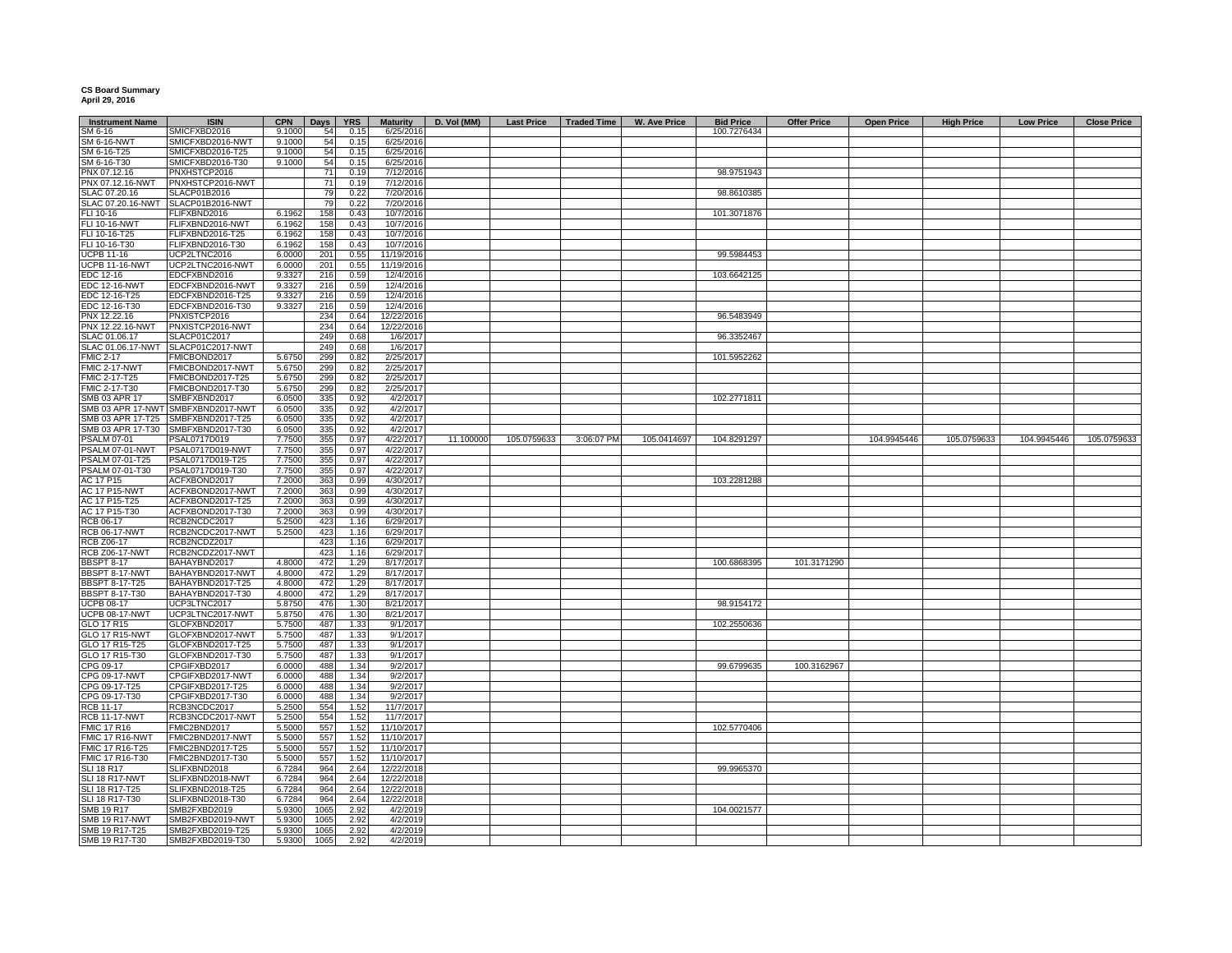## **CS Board Summary April 29, 2016**

| <b>Instrument Name</b>           | <b>ISIN</b>                        | <b>CPN</b> | Days | <b>YRS</b> | <b>Maturity</b> | D. Vol (MM) |             | Last Price   Traded Time | <b>W. Ave Price</b> | <b>Bid Price</b> | <b>Offer Price</b> | <b>Open Price</b> | <b>High Price</b> | <b>Low Price</b> | <b>Close Price</b> |
|----------------------------------|------------------------------------|------------|------|------------|-----------------|-------------|-------------|--------------------------|---------------------|------------------|--------------------|-------------------|-------------------|------------------|--------------------|
| SM 6-16                          | SMICFXBD2016                       | 9.1000     | 54   | 0.15       | 6/25/2016       |             |             |                          |                     | 100.7276434      |                    |                   |                   |                  |                    |
| <b>SM 6-16-NWT</b>               | SMICFXBD2016-NWT                   | 9.1000     | 54   | 0.15       | 6/25/2016       |             |             |                          |                     |                  |                    |                   |                   |                  |                    |
| SM 6-16-T25                      | SMICFXBD2016-T25                   | 9.1000     | 54   | 0.15       | 6/25/2016       |             |             |                          |                     |                  |                    |                   |                   |                  |                    |
| SM 6-16-T30                      | SMICFXBD2016-T30                   | 9.1000     | 54   | 0.15       | 6/25/2016       |             |             |                          |                     |                  |                    |                   |                   |                  |                    |
| PNX 07.12.16                     | PNXHSTCP2016                       |            | 71   | 0.19       | 7/12/2016       |             |             |                          |                     | 98.9751943       |                    |                   |                   |                  |                    |
| PNX 07.12.16-NWT                 | PNXHSTCP2016-NWT                   |            | 71   | 0.19       | 7/12/2016       |             |             |                          |                     |                  |                    |                   |                   |                  |                    |
| SLAC 07.20.16                    | SLACP01B2016                       |            | 79   | 0.22       | 7/20/2016       |             |             |                          |                     | 98.8610385       |                    |                   |                   |                  |                    |
|                                  | SLACP01B2016-NWT                   |            | 79   | 0.22       | 7/20/2016       |             |             |                          |                     |                  |                    |                   |                   |                  |                    |
| SLAC 07.20.16-NWT<br>FLI 10-16   | FLIFXBND2016                       | 6.1962     | 158  | 0.43       | 10/7/2016       |             |             |                          |                     |                  |                    |                   |                   |                  |                    |
|                                  |                                    |            |      |            |                 |             |             |                          |                     | 101.3071876      |                    |                   |                   |                  |                    |
| <b>FLI 10-16-NWT</b>             | <b>FLIFXBND2016-NWT</b>            | 6.1962     | 158  | 0.43       | 10/7/2016       |             |             |                          |                     |                  |                    |                   |                   |                  |                    |
| FLI 10-16-T25                    | FLIFXBND2016-T25                   | 6.1962     | 158  | 0.43       | 10/7/2016       |             |             |                          |                     |                  |                    |                   |                   |                  |                    |
| FLI 10-16-T30                    | FLIFXBND2016-T30                   | 6.1962     | 158  | 0.43       | 10/7/2016       |             |             |                          |                     |                  |                    |                   |                   |                  |                    |
| <b>UCPB 11-16</b>                | UCP2LTNC2016                       | 6.0000     | 201  | 0.55       | 11/19/2016      |             |             |                          |                     | 99.5984453       |                    |                   |                   |                  |                    |
| ICPB 11-16-NWT                   | UCP2LTNC2016-NWT                   | 6.000      | 201  | 0.55       | 11/19/2016      |             |             |                          |                     |                  |                    |                   |                   |                  |                    |
| EDC 12-16                        | EDCFXBND2016                       | 9.3327     | 216  | 0.59       | 12/4/2016       |             |             |                          |                     | 103.6642125      |                    |                   |                   |                  |                    |
| <b>EDC 12-16-NWT</b>             | EDCFXBND2016-NWT                   | 9.3327     | 216  | 0.59       | 12/4/2016       |             |             |                          |                     |                  |                    |                   |                   |                  |                    |
| EDC 12-16-T25                    | EDCFXBND2016-T25                   | 9.3327     | 216  | 0.59       | 12/4/2016       |             |             |                          |                     |                  |                    |                   |                   |                  |                    |
| EDC 12-16-T30                    | EDCFXBND2016-T30                   | 9.3327     | 216  | 0.59       | 12/4/2016       |             |             |                          |                     |                  |                    |                   |                   |                  |                    |
| PNX 12.22.16                     | PNXISTCP2016                       |            | 234  | 0.64       | 12/22/2016      |             |             |                          |                     | 96.5483949       |                    |                   |                   |                  |                    |
| <b>PNX 12.22.16-NWT</b>          | PNXISTCP2016-NWT                   |            | 234  | 0.64       | 12/22/2016      |             |             |                          |                     |                  |                    |                   |                   |                  |                    |
| SLAC 01.06.17                    | SLACP01C2017                       |            | 249  | 0.68       | 1/6/2017        |             |             |                          |                     | 96.3352467       |                    |                   |                   |                  |                    |
|                                  | SLAC 01.06.17-NWT SLACP01C2017-NWT |            | 249  | 0.68       | 1/6/2017        |             |             |                          |                     |                  |                    |                   |                   |                  |                    |
| <b>FMIC 2-17</b>                 | FMICBOND2017                       | 5.675      | 299  | 0.82       | 2/25/2017       |             |             |                          |                     | 101.5952262      |                    |                   |                   |                  |                    |
|                                  |                                    |            |      |            |                 |             |             |                          |                     |                  |                    |                   |                   |                  |                    |
| FMIC 2-17-NWT                    | FMICBOND2017-NWT                   | 5.675      | 299  | 0.82       | 2/25/2017       |             |             |                          |                     |                  |                    |                   |                   |                  |                    |
| FMIC 2-17-T25                    | FMICBOND2017-T25                   | 5.675      | 299  | 0.82       | 2/25/2017       |             |             |                          |                     |                  |                    |                   |                   |                  |                    |
| FMIC 2-17-T30                    | FMICBOND2017-T30                   | 5.6750     | 299  | 0.82       | 2/25/2017       |             |             |                          |                     |                  |                    |                   |                   |                  |                    |
| SMB 03 APR 17                    | SMBFXBND2017                       | 6.0500     | 335  | 0.92       | 4/2/2017        |             |             |                          |                     | 102.2771811      |                    |                   |                   |                  |                    |
|                                  | SMB 03 APR 17-NWT SMBFXBND2017-NWT | 6.0500     | 335  | 0.92       | 4/2/2017        |             |             |                          |                     |                  |                    |                   |                   |                  |                    |
| SMB 03 APR 17-T25                | SMBFXBND2017-T25                   | 6.0500     | 335  | 0.92       | 4/2/2017        |             |             |                          |                     |                  |                    |                   |                   |                  |                    |
|                                  | SMB 03 APR 17-T30 SMBFXBND2017-T30 | 6.0500     | 335  | 0.92       | 4/2/2017        |             |             |                          |                     |                  |                    |                   |                   |                  |                    |
| <b>PSALM 07-01</b>               | PSAL0717D019                       | 7.7500     | 355  | 0.97       | 4/22/2017       | 11.100000   | 105.0759633 | 3:06:07 PM               | 105.0414697         | 104.8291297      |                    | 104.9945446       | 105.0759633       | 104.9945446      | 105.0759633        |
| PSALM 07-01-NWT                  | PSAL0717D019-NWT                   | 7.7500     | 355  | 0.97       | 4/22/2017       |             |             |                          |                     |                  |                    |                   |                   |                  |                    |
| PSALM 07-01-T25                  | PSAL0717D019-T25                   | 7.7500     | 355  | 0.97       | 4/22/2017       |             |             |                          |                     |                  |                    |                   |                   |                  |                    |
| PSALM 07-01-T30                  | PSAL0717D019-T30                   | 7.7500     | 355  | 0.97       | 4/22/2017       |             |             |                          |                     |                  |                    |                   |                   |                  |                    |
| AC 17 P15                        | ACFXBOND2017                       | 7.2000     | 363  | 0.99       | 4/30/2017       |             |             |                          |                     | 103.2281288      |                    |                   |                   |                  |                    |
| <b>AC 17 P15-NWT</b>             | ACFXBOND2017-NWT                   | 7.2000     | 363  | 0.99       | 4/30/2017       |             |             |                          |                     |                  |                    |                   |                   |                  |                    |
|                                  |                                    |            |      |            |                 |             |             |                          |                     |                  |                    |                   |                   |                  |                    |
| AC 17 P15-T25                    | ACFXBOND2017-T25                   | 7.2000     | 363  | 0.99       | 4/30/2017       |             |             |                          |                     |                  |                    |                   |                   |                  |                    |
| AC 17 P15-T30                    | ACFXBOND2017-T30                   | 7.2000     | 363  | 0.99       | 4/30/2017       |             |             |                          |                     |                  |                    |                   |                   |                  |                    |
| RCB 06-17                        | RCB2NCDC2017                       | 5.2500     | 423  | 1.16       | 6/29/2017       |             |             |                          |                     |                  |                    |                   |                   |                  |                    |
| <b>RCB 06-17-NWT</b>             | RCB2NCDC2017-NWT                   | 5.2500     | 423  | 1.16       | 6/29/2017       |             |             |                          |                     |                  |                    |                   |                   |                  |                    |
| <b>RCB Z06-17</b>                | RCB2NCDZ2017                       |            | 423  | 1.16       | 6/29/2017       |             |             |                          |                     |                  |                    |                   |                   |                  |                    |
| <b>RCB Z06-17-NWT</b>            | RCB2NCDZ2017-NWT                   |            | 423  | 1.16       | 6/29/2017       |             |             |                          |                     |                  |                    |                   |                   |                  |                    |
| <b>BBSPT 8-17</b>                | BAHAYBND2017                       | 4.800      | 472  | 1.29       | 8/17/2017       |             |             |                          |                     | 100.6868395      | 101.3171290        |                   |                   |                  |                    |
| BBSPT 8-17-NWT<br>BBSPT 8-17-T25 | BAHAYBND2017-NWT                   | 4.8000     | 472  | 1.29       | 8/17/2017       |             |             |                          |                     |                  |                    |                   |                   |                  |                    |
|                                  | BAHAYBND2017-T25                   | 4.8000     | 472  | 1.29       | 8/17/2017       |             |             |                          |                     |                  |                    |                   |                   |                  |                    |
| <b>BBSPT 8-17-T30</b>            | BAHAYBND2017-T30                   | 4.8000     | 472  | 1.29       | 8/17/2017       |             |             |                          |                     |                  |                    |                   |                   |                  |                    |
| <b>UCPB 08-17</b>                | UCP3LTNC2017                       | 5.875      | 476  | 1.30       | 8/21/2017       |             |             |                          |                     | 98.9154172       |                    |                   |                   |                  |                    |
| <b>UCPB 08-17-NWT</b>            | UCP3LTNC2017-NWT                   | 5.875      | 476  | 1.30       | 8/21/2017       |             |             |                          |                     |                  |                    |                   |                   |                  |                    |
| GLO 17 R15                       | GLOFXBND2017                       | 5.7500     | 487  | 1.33       | 9/1/2017        |             |             |                          |                     | 102.2550636      |                    |                   |                   |                  |                    |
| <b>GLO 17 R15-NWT</b>            | GLOFXBND2017-NWT                   | 5.7500     | 487  | 1.33       | 9/1/2017        |             |             |                          |                     |                  |                    |                   |                   |                  |                    |
| GLO 17 R15-T25                   | GLOFXBND2017-T25                   | 5.7500     | 487  | 1.33       | 9/1/2017        |             |             |                          |                     |                  |                    |                   |                   |                  |                    |
|                                  |                                    |            |      |            |                 |             |             |                          |                     |                  |                    |                   |                   |                  |                    |
| GLO 17 R15-T30                   | GLOFXBND2017-T30                   | 5.7500     | 487  | 1.33       | 9/1/2017        |             |             |                          |                     |                  |                    |                   |                   |                  |                    |
| CPG 09-17                        | CPGIFXBD2017                       | 6.0000     | 488  | 1.34       | 9/2/2017        |             |             |                          |                     | 99.6799635       | 100.3162967        |                   |                   |                  |                    |
| CPG 09-17-NWT                    | CPGIFXBD2017-NWT                   | 6.0000     | 488  | 1.34       | 9/2/2017        |             |             |                          |                     |                  |                    |                   |                   |                  |                    |
| CPG 09-17-T25                    | CPGIFXBD2017-T25                   | 6.0000     | 488  | 1.34       | 9/2/2017        |             |             |                          |                     |                  |                    |                   |                   |                  |                    |
| CPG 09-17-T30                    | CPGIFXBD2017-T30                   | 6.0000     | 488  | 1.34       | 9/2/2017        |             |             |                          |                     |                  |                    |                   |                   |                  |                    |
| <b>RCB 11-17</b>                 | RCB3NCDC2017                       | 5.2500     | 554  | 1.52       | 11/7/2017       |             |             |                          |                     |                  |                    |                   |                   |                  |                    |
| <b>RCB 11-17-NWT</b>             | RCB3NCDC2017-NWT                   | 5.2500     | 554  | 1.52       | 11/7/2017       |             |             |                          |                     |                  |                    |                   |                   |                  |                    |
| <b>FMIC 17 R16</b>               | FMIC2BND2017                       | 5.500      | 557  | 1.52       | 11/10/2017      |             |             |                          |                     | 102.5770406      |                    |                   |                   |                  |                    |
| FMIC 17 R16-NWT                  | FMIC2BND2017-NWT                   | 5.5000     | 557  | 1.52       | 11/10/2017      |             |             |                          |                     |                  |                    |                   |                   |                  |                    |
| FMIC 17 R16-T25                  | FMIC2BND2017-T25                   | 5.5000     | 557  | 1.52       | 11/10/2017      |             |             |                          |                     |                  |                    |                   |                   |                  |                    |
|                                  | FMIC2BND2017-T30                   | 5.5000     | 557  | 1.52       | 11/10/2017      |             |             |                          |                     |                  |                    |                   |                   |                  |                    |
| FMIC 17 R16-T30<br>SLI 18 R17    | SLIFXBND2018                       | 6.7284     | 964  | 2.64       | 12/22/2018      |             |             |                          |                     | 99.9965370       |                    |                   |                   |                  |                    |
| SLI 18 R17-NWT                   | SLIFXBND2018-NWT                   | 6.7284     | 964  | 2.64       | 12/22/2018      |             |             |                          |                     |                  |                    |                   |                   |                  |                    |
| SLI 18 R17-T25                   | SLIFXBND2018-T25                   | 6.7284     | 964  | 2.64       | 12/22/2018      |             |             |                          |                     |                  |                    |                   |                   |                  |                    |
|                                  |                                    |            |      |            |                 |             |             |                          |                     |                  |                    |                   |                   |                  |                    |
| SLI 18 R17-T30                   | SLIFXBND2018-T30                   | 6.7284     | 964  | 2.64       | 12/22/2018      |             |             |                          |                     |                  |                    |                   |                   |                  |                    |
| SMB 19 R17                       | SMB2FXBD2019                       | 5.9300     | 1065 | 2.92       | 4/2/2019        |             |             |                          |                     | 104.0021577      |                    |                   |                   |                  |                    |
| <b>SMB 19 R17-NWT</b>            | SMB2FXBD2019-NWT                   | 5.9300     | 1065 | 2.92       | 4/2/2019        |             |             |                          |                     |                  |                    |                   |                   |                  |                    |
| SMB 19 R17-T25                   | SMB2FXBD2019-T25                   | 5.9300     | 1065 | 2.92       | 4/2/2019        |             |             |                          |                     |                  |                    |                   |                   |                  |                    |
| SMB 19 R17-T30                   | SMB2FXBD2019-T30                   | 5.9300     | 1065 | 2.92       | 4/2/2019        |             |             |                          |                     |                  |                    |                   |                   |                  |                    |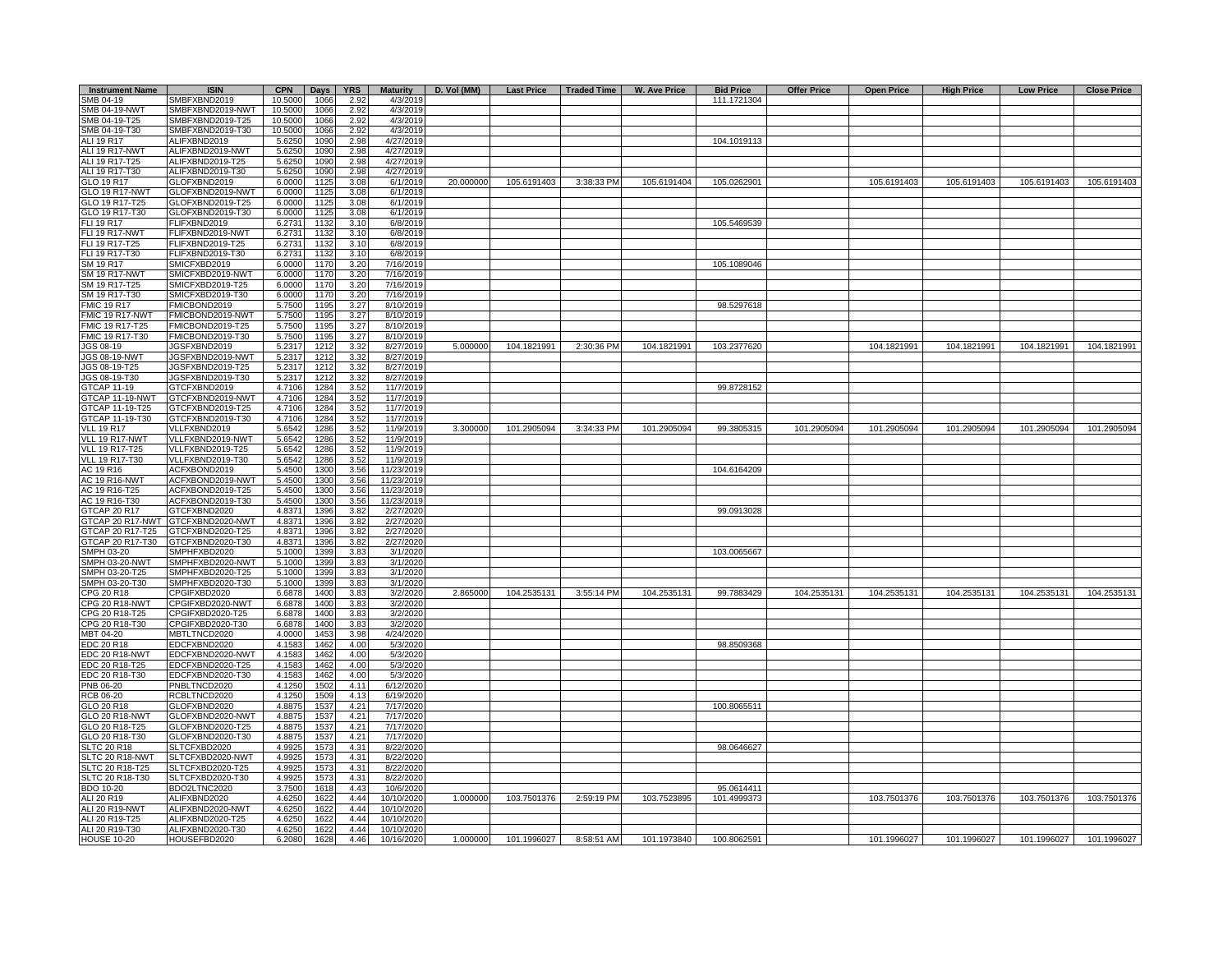| <b>Instrument Name</b>      | <b>ISIN</b>                      | <b>CPN</b>      | <b>Days</b>  | <b>YRS</b>   | <b>Maturity</b>       | D. Vol (MM) |             |            | Last Price   Traded Time   W. Ave Price | <b>Bid Price</b> | <b>Offer Price</b> | <b>Open Price</b> | <b>High Price</b> | <b>Low Price</b> | <b>Close Price</b> |
|-----------------------------|----------------------------------|-----------------|--------------|--------------|-----------------------|-------------|-------------|------------|-----------------------------------------|------------------|--------------------|-------------------|-------------------|------------------|--------------------|
| SMB 04-19                   | SMBFXBND2019                     | 10.5000         | 1066         | 2.92         | 4/3/2019              |             |             |            |                                         | 111.1721304      |                    |                   |                   |                  |                    |
| SMB 04-19-NWT               | SMBFXBND2019-NWT                 | 10.5000         | 1066         | 2.92         | 4/3/2019              |             |             |            |                                         |                  |                    |                   |                   |                  |                    |
| SMB 04-19-T25               | SMBFXBND2019-T25                 | 10.5000         | 1066         | 2.92         | 4/3/2019              |             |             |            |                                         |                  |                    |                   |                   |                  |                    |
| SMB 04-19-T30               | SMBFXBND2019-T30                 | 10.5000         | 1066         | 2.92         | 4/3/2019              |             |             |            |                                         |                  |                    |                   |                   |                  |                    |
| ALI 19 R17                  | ALIFXBND2019                     | 5.6250          | 1090         | 2.98         | 4/27/2019             |             |             |            |                                         | 104.1019113      |                    |                   |                   |                  |                    |
| ALI 19 R17-NWT              | ALIFXBND2019-NWT                 | 5.6250          | 1090         | 2.98         | 4/27/2019             |             |             |            |                                         |                  |                    |                   |                   |                  |                    |
| ALI 19 R17-T25              | ALIFXBND2019-T25                 | 5.6250          | 1090         | 2.98         | 4/27/2019             |             |             |            |                                         |                  |                    |                   |                   |                  |                    |
| ALI 19 R17-T30              | ALIFXBND2019-T30                 | 5.6250          | 1090         | 2.98         | 4/27/201              |             |             |            |                                         |                  |                    |                   |                   |                  |                    |
| GLO 19 R17                  | GLOFXBND2019                     | 6.0000          | 1125         | 3.08         | 6/1/2019              | 20.000000   | 105.6191403 | 3:38:33 PM | 105.6191404                             | 105.0262901      |                    | 105.6191403       | 105.6191403       | 105.6191403      | 105.6191403        |
| <b>GLO 19 R17-NWT</b>       | GLOFXBND2019-NWT                 | 6.0000          | 1125         | 3.08         | 6/1/2019              |             |             |            |                                         |                  |                    |                   |                   |                  |                    |
| GLO 19 R17-T25              | GLOFXBND2019-T25                 | 6.0000          | 1125         | 3.08         | 6/1/2019              |             |             |            |                                         |                  |                    |                   |                   |                  |                    |
| GLO 19 R17-T30              | GLOFXBND2019-T30                 | 6.0000          | 1125         | 3.08         | 6/1/2019              |             |             |            |                                         |                  |                    |                   |                   |                  |                    |
| FLI 19 R17                  | FLIFXBND2019                     | 6.2731          | 1132         | 3.10         | 6/8/2019              |             |             |            |                                         | 105.5469539      |                    |                   |                   |                  |                    |
| <b>FLI 19 R17-NWT</b>       | FLIFXBND2019-NWT                 | 6.2731          | 1132         | 3.10         | 6/8/2019              |             |             |            |                                         |                  |                    |                   |                   |                  |                    |
| FLI 19 R17-T25              | FLIFXBND2019-T25                 | 6.2731          | 1132         | 3.10         | 6/8/2019              |             |             |            |                                         |                  |                    |                   |                   |                  |                    |
| FLI 19 R17-T30<br>SM 19 R17 | FLIFXBND2019-T30<br>SMICFXBD2019 | 6.273<br>6.0000 | 1132<br>1170 | 3.10<br>3.20 | 6/8/2019<br>7/16/2019 |             |             |            |                                         | 105.1089046      |                    |                   |                   |                  |                    |
| <b>SM 19 R17-NWT</b>        | SMICFXBD2019-NWT                 | 6.0000          | 1170         |              | 7/16/2019             |             |             |            |                                         |                  |                    |                   |                   |                  |                    |
| SM 19 R17-T25               | SMICFXBD2019-T25                 | 6.0000          | 1170         | 3.2C<br>3.20 | 7/16/2019             |             |             |            |                                         |                  |                    |                   |                   |                  |                    |
| SM 19 R17-T30               | SMICFXBD2019-T30                 | 6.0000          | 1170         | 3.20         | 7/16/2019             |             |             |            |                                         |                  |                    |                   |                   |                  |                    |
| <b>FMIC 19 R17</b>          | FMICBOND2019                     | 5.7500          | 1195         | 3.27         | 8/10/2019             |             |             |            |                                         | 98.5297618       |                    |                   |                   |                  |                    |
| FMIC 19 R17-NWT             | FMICBOND2019-NWT                 | 5.7500          | 1195         | 3.27         | 8/10/2019             |             |             |            |                                         |                  |                    |                   |                   |                  |                    |
| FMIC 19 R17-T25             | FMICBOND2019-T25                 | 5.7500          | 1195         | 3.27         | 8/10/2019             |             |             |            |                                         |                  |                    |                   |                   |                  |                    |
| FMIC 19 R17-T30             | FMICBOND2019-T30                 | 5.7500          | 1195         | 3.27         | 8/10/2019             |             |             |            |                                         |                  |                    |                   |                   |                  |                    |
| JGS 08-19                   | JGSFXBND2019                     | 5.2317          | 121          | 3.32         | 8/27/2019             | 5.000000    | 104.1821991 | 2:30:36 PM | 104.1821991                             | 103.2377620      |                    | 104.1821991       | 104.1821991       | 104.1821991      | 104.1821991        |
| JGS 08-19-NWT               | JGSFXBND2019-NWT                 | 5.2317          | 1212         | 3.32         | 8/27/2019             |             |             |            |                                         |                  |                    |                   |                   |                  |                    |
| JGS 08-19-T25               | JGSFXBND2019-T25                 | 5.2317          | 121          | 3.32         | 8/27/2019             |             |             |            |                                         |                  |                    |                   |                   |                  |                    |
| JGS 08-19-T30               | JGSFXBND2019-T30                 | 5.2317          | 1212         | 3.32         | 8/27/2019             |             |             |            |                                         |                  |                    |                   |                   |                  |                    |
| <b>GTCAP 11-19</b>          | GTCFXBND2019                     | 4.7106          | 1284         | 3.52         | 11/7/2019             |             |             |            |                                         | 99.8728152       |                    |                   |                   |                  |                    |
| GTCAP 11-19-NWT             | GTCFXBND2019-NWT                 | 4.7106          | 1284         | 3.52         | 11/7/2019             |             |             |            |                                         |                  |                    |                   |                   |                  |                    |
| GTCAP 11-19-T25             | GTCFXBND2019-T25                 | 4.7106          | 1284         | 3.52         | 11/7/2019             |             |             |            |                                         |                  |                    |                   |                   |                  |                    |
| GTCAP 11-19-T30             | GTCFXBND2019-T30                 | 4.7106          | 1284         | 3.52         | 11/7/2019             |             |             |            |                                         |                  |                    |                   |                   |                  |                    |
| <b>VLL 19 R17</b>           | VLLFXBND2019                     | 5.6542          | 1286         | 3.52         | 11/9/2019             | 3.300000    | 101.2905094 | 3:34:33 PM | 101.2905094                             | 99.3805315       | 101.2905094        | 101.2905094       | 101.2905094       | 101.2905094      | 101.2905094        |
| VLL 19 R17-NWT              | VLLFXBND2019-NWT                 | 5.6542          | 1286         | 3.52         | 11/9/2019             |             |             |            |                                         |                  |                    |                   |                   |                  |                    |
| VLL 19 R17-T25              | VLLFXBND2019-T25                 | 5.6542          | 1286         | 3.52         | 11/9/2019             |             |             |            |                                         |                  |                    |                   |                   |                  |                    |
| <b>VLL 19 R17-T30</b>       | VLLFXBND2019-T30                 | 5.6542          | 1286         | 3.52         | 11/9/2019             |             |             |            |                                         |                  |                    |                   |                   |                  |                    |
| AC 19 R16                   | ACFXBOND2019                     | 5.4500          | 1300         | 3.56         | 11/23/2019            |             |             |            |                                         | 104.6164209      |                    |                   |                   |                  |                    |
| <b>AC 19 R16-NWT</b>        | ACFXBOND2019-NWT                 | 5.4500          | 1300         | 3.56         | 11/23/2019            |             |             |            |                                         |                  |                    |                   |                   |                  |                    |
| AC 19 R16-T25               | ACFXBOND2019-T25                 | 5.4500          | 1300         | 3.56         | 11/23/2019            |             |             |            |                                         |                  |                    |                   |                   |                  |                    |
| AC 19 R16-T30               | ACFXBOND2019-T30                 | 5.4500          | 1300         | 3.56         | 11/23/2019            |             |             |            |                                         |                  |                    |                   |                   |                  |                    |
| <b>GTCAP 20 R17</b>         | GTCFXBND2020                     | 4.8371          | 1396         | 3.82         | 2/27/2020             |             |             |            |                                         | 99.0913028       |                    |                   |                   |                  |                    |
| GTCAP 20 R17-NWT            | GTCFXBND2020-NWT                 | 4.8371          | 1396         | 3.82         | 2/27/2020             |             |             |            |                                         |                  |                    |                   |                   |                  |                    |
| GTCAP 20 R17-T25            | GTCFXBND2020-T25                 | 4.8371          | 1396         | 3.82         | 2/27/2020             |             |             |            |                                         |                  |                    |                   |                   |                  |                    |
| GTCAP 20 R17-T30            | GTCFXBND2020-T30                 | 4.8371          | 1396         | 3.82         | 2/27/2020             |             |             |            |                                         |                  |                    |                   |                   |                  |                    |
| SMPH 03-20                  | SMPHFXBD2020                     | 5.1000          | 1399         | 3.83         | 3/1/2020              |             |             |            |                                         | 103.0065667      |                    |                   |                   |                  |                    |
| SMPH 03-20-NWT              | SMPHFXBD2020-NWT                 | 5.1000          | 1399         | 3.83         | 3/1/2020              |             |             |            |                                         |                  |                    |                   |                   |                  |                    |
| SMPH 03-20-T25              | SMPHFXBD2020-T25                 | 5.100(          | 1399         | 3.83         | 3/1/2020              |             |             |            |                                         |                  |                    |                   |                   |                  |                    |
| SMPH 03-20-T30              | SMPHFXBD2020-T30                 | 5.1000          | 1399         | 3.83         | 3/1/2020              |             |             |            |                                         |                  |                    |                   |                   |                  |                    |
| CPG 20 R18                  | CPGIFXBD2020                     | 6.6878          | 1400         | 3.83         | 3/2/2020              | 2.865000    | 104.2535131 | 3:55:14 PM | 104.2535131                             | 99.7883429       | 104.2535131        | 104.2535131       | 104.2535131       | 104.2535131      | 104.2535131        |
| CPG 20 R18-NWT              | CPGIFXBD2020-NWT                 | 6.6878          | 1400         | 3.83         | 3/2/2020              |             |             |            |                                         |                  |                    |                   |                   |                  |                    |
| CPG 20 R18-T25              | CPGIFXBD2020-T25                 | 6.6878          | 1400         | 3.83         | 3/2/2020              |             |             |            |                                         |                  |                    |                   |                   |                  |                    |
| CPG 20 R18-T30              | CPGIFXBD2020-T30                 | 6.6878          | 1400         | 3.83         | 3/2/2020              |             |             |            |                                         |                  |                    |                   |                   |                  |                    |
| MBT 04-20                   | <b>MBTLTNCD2020</b>              | 4.0000          | 1453         | 3.98         | 4/24/2020             |             |             |            |                                         |                  |                    |                   |                   |                  |                    |
| EDC 20 R18                  | EDCFXBND2020                     | 4.1583          | 1462         | 4.00         | 5/3/2020              |             |             |            |                                         | 98.8509368       |                    |                   |                   |                  |                    |
| EDC 20 R18-NWT              | EDCFXBND2020-NWT                 | 4.1583          | 1462         | 4.00         | 5/3/2020              |             |             |            |                                         |                  |                    |                   |                   |                  |                    |
| EDC 20 R18-T25              | EDCFXBND2020-T25                 | 4.1583          | 1462         | 4.00         | 5/3/2020              |             |             |            |                                         |                  |                    |                   |                   |                  |                    |
| EDC 20 R18-T30              | EDCFXBND2020-T30                 | 4.1583          | 1462         | 4.00         | 5/3/2020              |             |             |            |                                         |                  |                    |                   |                   |                  |                    |
| PNB 06-20                   | PNBLTNCD2020                     | 4.1250          | 1502         | 4.11         | 6/12/2020             |             |             |            |                                         |                  |                    |                   |                   |                  |                    |
| <b>RCB 06-20</b>            | RCBLTNCD2020                     | 4.1250          | 1509         | 4.13         | 6/19/2020             |             |             |            |                                         |                  |                    |                   |                   |                  |                    |
| GLO 20 R18                  | GLOFXBND2020                     | 4.8875          | 1537         | 4.21         | 7/17/2020             |             |             |            |                                         | 100.8065511      |                    |                   |                   |                  |                    |
| GLO 20 R18-NWT              | GLOFXBND2020-NWT                 | 4.8875          | 1537         | 4.21         | 7/17/2020             |             |             |            |                                         |                  |                    |                   |                   |                  |                    |
| GLO 20 R18-T25              | GLOFXBND2020-T25                 | 4.8875          | 1537         | 4.21         | 7/17/2020             |             |             |            |                                         |                  |                    |                   |                   |                  |                    |
| GLO 20 R18-T30              | GLOFXBND2020-T30                 | 4.8875          | 1537         | 4.21         | 7/17/2020             |             |             |            |                                         |                  |                    |                   |                   |                  |                    |
| <b>SLTC 20 R18</b>          | SLTCFXBD2020                     | 4.9925          | 1573         | 4.31         | 8/22/2020             |             |             |            |                                         | 98.0646627       |                    |                   |                   |                  |                    |
| SLTC 20 R18-NWT             | SLTCFXBD2020-NWT                 | 4.9925          | 1573         | 4.31         | 8/22/2020             |             |             |            |                                         |                  |                    |                   |                   |                  |                    |
| SLTC 20 R18-T25             | SLTCFXBD2020-T25                 | 4.9925          | 1573         | 4.31         | 8/22/2020             |             |             |            |                                         |                  |                    |                   |                   |                  |                    |
| SLTC 20 R18-T30             | SLTCFXBD2020-T30                 | 4.9925          | 1573         | 4.31         | 8/22/2020             |             |             |            |                                         |                  |                    |                   |                   |                  |                    |
| BDO 10-20                   | BDO2LTNC2020                     | 3.7500          | 1618         | 4.43         | 10/6/2020             |             |             |            |                                         | 95.0614411       |                    |                   |                   |                  |                    |
| ALI 20 R19                  | ALIFXBND2020                     | 4.6250          | 1622         | 4.44         | 10/10/2020            | 1.000000    | 103.7501376 | 2:59:19 PM | 103.7523895                             | 101.4999373      |                    | 103.7501376       | 103.7501376       | 103.7501376      | 103.7501376        |
| ALI 20 R19-NWT              | ALIFXBND2020-NWT                 | 4.6250          | 1622         | 4.44         | 10/10/2020            |             |             |            |                                         |                  |                    |                   |                   |                  |                    |
| ALI 20 R19-T25              | ALIFXBND2020-T25                 | 4.6250          | 1622         | 4.44         | 10/10/2020            |             |             |            |                                         |                  |                    |                   |                   |                  |                    |
| ALI 20 R19-T30              | ALIFXBND2020-T30                 | 4.6250          | 1622         | 4.44         | 10/10/2020            |             |             |            |                                         |                  |                    |                   |                   |                  |                    |
| <b>HOUSE 10-20</b>          | HOUSEFBD2020                     | 6.2080          | 1628         | 4.46         | 10/16/2020            | 1.000000    | 101.1996027 | 8:58:51 AM | 101.1973840                             | 100.8062591      |                    | 101.1996027       | 101.1996027       | 101.1996027      | 101.1996027        |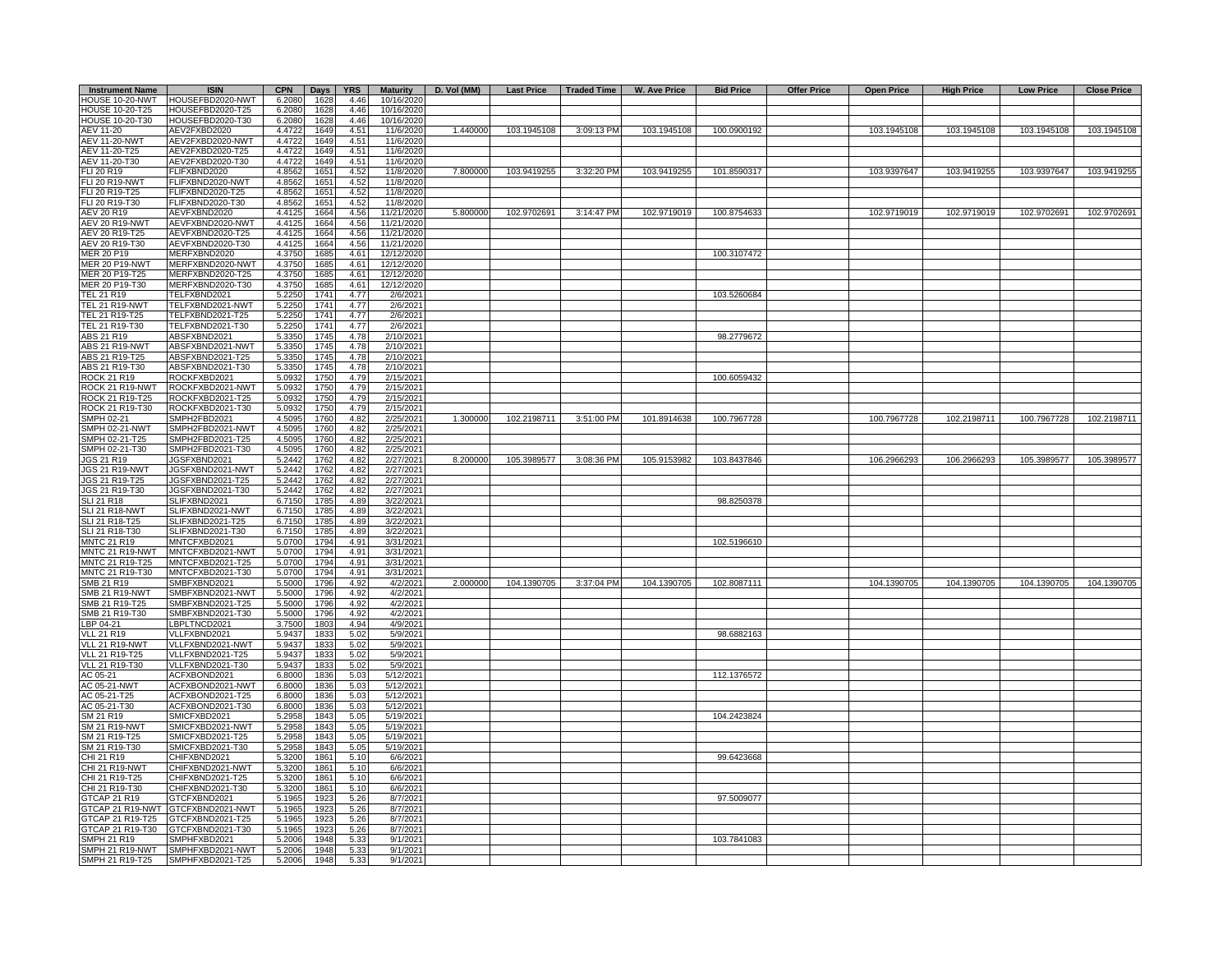| <b>Instrument Name</b>           | <b>ISIN</b>                          | <b>CPN</b>       | <b>Days</b>  | <b>YRS</b>   | <b>Maturity</b>      | D. Vol (MM) | <b>Last Price</b> | Traded Time | W. Ave Price | <b>Bid Price</b> | <b>Offer Price</b> | <b>Open Price</b> | <b>High Price</b> | <b>Low Price</b> | <b>Close Price</b> |
|----------------------------------|--------------------------------------|------------------|--------------|--------------|----------------------|-------------|-------------------|-------------|--------------|------------------|--------------------|-------------------|-------------------|------------------|--------------------|
| HOUSE 10-20-NWT                  | HOUSEFBD2020-NWT                     | 6.2080           | 1628         | 4.46         | 10/16/2020           |             |                   |             |              |                  |                    |                   |                   |                  |                    |
| HOUSE 10-20-T25                  | HOUSEFBD2020-T25                     | 6.2080           | 1628         | 4.46         | 10/16/2020           |             |                   |             |              |                  |                    |                   |                   |                  |                    |
| <b>HOUSE 10-20-T30</b>           | HOUSEFBD2020-T30                     | 6.2080           | 1628         | 4.46         | 10/16/2020           |             |                   |             |              |                  |                    |                   |                   |                  |                    |
| AEV 11-20                        | AEV2FXBD2020                         | 4.4722           | 1649         | 4.51         | 11/6/2020            | 1.440000    | 103.1945108       | 3:09:13 PM  | 103.1945108  | 100.0900192      |                    | 103.1945108       | 103.1945108       | 103.1945108      | 103.1945108        |
| <b>AEV 11-20-NWT</b>             | AEV2FXBD2020-NWT                     | 4.4722           | 1649         | 4.51         | 11/6/2020            |             |                   |             |              |                  |                    |                   |                   |                  |                    |
| AEV 11-20-T25                    | AEV2FXBD2020-T25                     | 4.4722           | 1649         | 4.51         | 11/6/2020            |             |                   |             |              |                  |                    |                   |                   |                  |                    |
| AEV 11-20-T30                    | AEV2FXBD2020-T30                     | 4.4722           | 1649         | 4.51         | 11/6/2020            |             |                   |             |              |                  |                    |                   |                   |                  |                    |
| FLI 20 R19                       | FLIFXBND2020                         | 4.8562           | 1651         | 4.52         | 11/8/2020            | 7.800000    | 103.9419255       | 3:32:20 PM  | 103.9419255  | 101.8590317      |                    | 103.9397647       | 103.9419255       | 103.9397647      | 103.9419255        |
| FLI 20 R19-NWT                   | FLIFXBND2020-NWT                     | 4.8562           | 1651         | 4.52         | 11/8/2020            |             |                   |             |              |                  |                    |                   |                   |                  |                    |
| FLI 20 R19-T25                   | FLIFXBND2020-T25                     | 4.8562           | 1651         | 4.52         | 11/8/2020            |             |                   |             |              |                  |                    |                   |                   |                  |                    |
| FLI 20 R19-T30                   | FLIFXBND2020-T30                     | 4.8562           | 165'         | 4.52         | 11/8/2020            |             |                   |             |              |                  |                    |                   |                   |                  |                    |
| AEV 20 R19                       | AEVFXBND2020                         | 4.4125           | 1664         | 4.56         | 11/21/2020           | 5.800000    | 102.9702691       | 3:14:47 PM  | 102.9719019  | 100.8754633      |                    | 102.9719019       | 102.9719019       | 102.9702691      | 102.9702691        |
| AEV 20 R19-NWT                   | AEVFXBND2020-NWT                     | 4.4125           | 1664         | 4.56         | 11/21/2020           |             |                   |             |              |                  |                    |                   |                   |                  |                    |
| AEV 20 R19-T25                   | AEVFXBND2020-T25                     | 4.4125           | 1664         | 4.56         | 11/21/2020           |             |                   |             |              |                  |                    |                   |                   |                  |                    |
| AEV 20 R19-T30                   | AEVFXBND2020-T30                     | 4.4125           | 1664         | 4.56         | 11/21/2020           |             |                   |             |              |                  |                    |                   |                   |                  |                    |
| MER 20 P19                       | MERFXBND2020                         | 4.3750           | 1685         | 4.61         | 12/12/2020           |             |                   |             |              | 100.3107472      |                    |                   |                   |                  |                    |
| MER 20 P19-NWT                   | MERFXBND2020-NWT                     | 4.3750           | 1685         | 4.61         | 12/12/2020           |             |                   |             |              |                  |                    |                   |                   |                  |                    |
| MER 20 P19-T25                   | MERFXBND2020-T25                     | 4.3750           | 1685         | 4.61         | 12/12/2020           |             |                   |             |              |                  |                    |                   |                   |                  |                    |
| MER 20 P19-T30                   | MERFXBND2020-T30                     | 4.3750           | 1685         | 4.61         | 12/12/2020           |             |                   |             |              |                  |                    |                   |                   |                  |                    |
| TEL 21 R19                       | TELFXBND2021                         | 5.2250           | 1741         | 4.77         | 2/6/2021             |             |                   |             |              | 103.5260684      |                    |                   |                   |                  |                    |
| TEL 21 R19-NWT<br>TEL 21 R19-T25 | TELFXBND2021-NWT<br>TELFXBND2021-T25 | 5.2250<br>5.2250 | 1741<br>1741 | 4.77<br>4.77 | 2/6/2021<br>2/6/2021 |             |                   |             |              |                  |                    |                   |                   |                  |                    |
| TEL 21 R19-T30                   | TELFXBND2021-T30                     | 5.2250           | 1741         | 4.77         | 2/6/2021             |             |                   |             |              |                  |                    |                   |                   |                  |                    |
| ABS 21 R19                       | ABSFXBND2021                         | 5.3350           | 1745         | 4.78         | 2/10/2021            |             |                   |             |              | 98.2779672       |                    |                   |                   |                  |                    |
| ABS 21 R19-NWT                   | ABSFXBND2021-NWT                     | 5.3350           | 1745         | 4.78         | 2/10/2021            |             |                   |             |              |                  |                    |                   |                   |                  |                    |
| ABS 21 R19-T25                   | ABSFXBND2021-T25                     | 5.3350           | 1745         | 4.78         | 2/10/2021            |             |                   |             |              |                  |                    |                   |                   |                  |                    |
| ABS 21 R19-T30                   | ABSFXBND2021-T30                     | 5.3350           | 1745         | 4.78         | 2/10/2021            |             |                   |             |              |                  |                    |                   |                   |                  |                    |
| ROCK 21 R19                      | ROCKFXBD2021                         | 5.0932           | 1750         | 4.79         | 2/15/2021            |             |                   |             |              | 100.6059432      |                    |                   |                   |                  |                    |
| ROCK 21 R19-NWT                  | ROCKFXBD2021-NWT                     | 5.0932           | 1750         | 4.79         | 2/15/2021            |             |                   |             |              |                  |                    |                   |                   |                  |                    |
| ROCK 21 R19-T25                  | ROCKFXBD2021-T25                     | 5.0932           | 1750         | 4.79         | 2/15/2021            |             |                   |             |              |                  |                    |                   |                   |                  |                    |
| ROCK 21 R19-T30                  | ROCKFXBD2021-T30                     | 5.0932           | 1750         | 4.79         | 2/15/2021            |             |                   |             |              |                  |                    |                   |                   |                  |                    |
| SMPH 02-21                       | SMPH2FBD2021                         | 4.5095           | 1760         | 4.82         | 2/25/2021            | 1.300000    | 102.2198711       | 3:51:00 PM  | 101.8914638  | 100.7967728      |                    | 100.7967728       | 102.2198711       | 100.7967728      | 102.2198711        |
| SMPH 02-21-NWT                   | MPH2FBD2021-NWT                      | 4.5095           | 1760         | 4.82         | 2/25/2021            |             |                   |             |              |                  |                    |                   |                   |                  |                    |
| SMPH 02-21-T25                   | MPH2FBD2021-T25                      | 4.5095           | 1760         | 4.82         | 2/25/2021            |             |                   |             |              |                  |                    |                   |                   |                  |                    |
| SMPH 02-21-T30                   | SMPH2FBD2021-T30                     | 4.5095           | 1760         | 4.82         | 2/25/2021            |             |                   |             |              |                  |                    |                   |                   |                  |                    |
| JGS 21 R19                       | JGSFXBND2021                         | 5.2442           | 1762         | 4.82         | 2/27/2021            | 8.200000    | 105.3989577       | 3:08:36 PM  | 105.9153982  | 103.8437846      |                    | 106.2966293       | 106.2966293       | 105.3989577      | 105.3989577        |
| JGS 21 R19-NWT                   | JGSFXBND2021-NWT                     | 5.2442           | 1762         | 4.82         | 2/27/2021            |             |                   |             |              |                  |                    |                   |                   |                  |                    |
| JGS 21 R19-T25                   | JGSFXBND2021-T25                     | 5.2442           | 1762         | 4.82         | 2/27/2021            |             |                   |             |              |                  |                    |                   |                   |                  |                    |
| JGS 21 R19-T30                   | JGSFXBND2021-T30                     | 5.2442           | 1762         | 4.82         | 2/27/2021            |             |                   |             |              |                  |                    |                   |                   |                  |                    |
| SLI 21 R18                       | SLIFXBND2021                         | 6.7150           | 1785         | 4.89         | 3/22/2021            |             |                   |             |              | 98.8250378       |                    |                   |                   |                  |                    |
| <b>SLI 21 R18-NWT</b>            | SLIFXBND2021-NWT                     | 6.7150           | 1785         | 4.89         | 3/22/2021            |             |                   |             |              |                  |                    |                   |                   |                  |                    |
| SLI 21 R18-T25                   | SLIFXBND2021-T25                     | 6.7150           | 1785         | 4.89         | 3/22/2021            |             |                   |             |              |                  |                    |                   |                   |                  |                    |
| SLI 21 R18-T30                   | SLIFXBND2021-T30                     | 6.7150           | 1785         | 4.89         | 3/22/2021            |             |                   |             |              |                  |                    |                   |                   |                  |                    |
| MNTC 21 R19                      | MNTCFXBD2021                         | 5.0700           | 1794         | 4.91         | 3/31/2021            |             |                   |             |              | 102.5196610      |                    |                   |                   |                  |                    |
| MNTC 21 R19-NWT                  | MNTCFXBD2021-NWT                     | 5.0700           | 1794         | 4.91         | 3/31/2021            |             |                   |             |              |                  |                    |                   |                   |                  |                    |
| MNTC 21 R19-T25                  | MNTCFXBD2021-T25                     | 5.0700           | 1794         | 4.91         | 3/31/2021            |             |                   |             |              |                  |                    |                   |                   |                  |                    |
| MNTC 21 R19-T30                  | MNTCFXBD2021-T30                     | 5.0700           | 1794         | 4.91         | 3/31/2021            |             |                   |             |              |                  |                    |                   |                   |                  |                    |
| SMB 21 R19                       | SMBFXBND2021                         | 5.5000           | 1796         | 4.92         | 4/2/2021             | 2.000000    | 104.1390705       | 3:37:04 PM  | 104.1390705  | 102.8087111      |                    | 104.1390705       | 104.1390705       | 104.1390705      | 104.1390705        |
| SMB 21 R19-NWT                   | SMBFXBND2021-NWT                     | 5.5000<br>5.5000 | 1796         | 4.92<br>4.92 | 4/2/2021<br>4/2/2021 |             |                   |             |              |                  |                    |                   |                   |                  |                    |
| SMB 21 R19-T25                   | SMBFXBND2021-T25<br>SMBFXBND2021-T30 | 5.5000           | 1796<br>1796 | 4.92         | 4/2/2021             |             |                   |             |              |                  |                    |                   |                   |                  |                    |
| SMB 21 R19-T30<br>BP 04-21       | LBPLTNCD2021                         | 3.7500           | 1803         | 4.94         | 4/9/2021             |             |                   |             |              |                  |                    |                   |                   |                  |                    |
| /LL 21 R19                       | VLLFXBND2021                         | 5.9437           | 1833         | 5.02         | 5/9/2021             |             |                   |             |              | 98.6882163       |                    |                   |                   |                  |                    |
| /LL 21 R19-NWT                   | VLLFXBND2021-NWT                     | 5.9437           | 1833         | 5.02         | 5/9/2021             |             |                   |             |              |                  |                    |                   |                   |                  |                    |
| VLL 21 R19-T25                   | VLLFXBND2021-T25                     | 5.9437           | 1833         | 5.02         | 5/9/2021             |             |                   |             |              |                  |                    |                   |                   |                  |                    |
| VLL 21 R19-T30                   | VLLFXBND2021-T30                     | 5.9437           | 1833         | 5.02         | 5/9/2021             |             |                   |             |              |                  |                    |                   |                   |                  |                    |
| AC 05-21                         | ACFXBOND2021                         | 6.8000           | 1836         | 5.03         | 5/12/2021            |             |                   |             |              | 112.1376572      |                    |                   |                   |                  |                    |
| AC 05-21-NWT                     | ACFXBOND2021-NWT                     | 6.8000           | 1836         | 5.03         | 5/12/2021            |             |                   |             |              |                  |                    |                   |                   |                  |                    |
| AC 05-21-T25                     | ACFXBOND2021-T25                     | 6.8000           | 1836         | 5.03         | 5/12/2021            |             |                   |             |              |                  |                    |                   |                   |                  |                    |
| AC 05-21-T30                     | ACFXBOND2021-T30                     | 6.8000           | 1836         | 5.03         | 5/12/2021            |             |                   |             |              |                  |                    |                   |                   |                  |                    |
| SM 21 R19                        | SMICFXBD2021                         | 5.2958           | 1843         | 5.05         | 5/19/2021            |             |                   |             |              | 104.2423824      |                    |                   |                   |                  |                    |
| <b>SM 21 R19-NWT</b>             | SMICFXBD2021-NWT                     | 5.2958           | 1843         | 5.05         | 5/19/2021            |             |                   |             |              |                  |                    |                   |                   |                  |                    |
| SM 21 R19-T25                    | MICFXBD2021-T25                      | 5.2958           | 1843         | 5.05         | 5/19/2021            |             |                   |             |              |                  |                    |                   |                   |                  |                    |
| SM 21 R19-T30                    | MICFXBD2021-T30                      | 5.2958           | 1843         | 5.05         | 5/19/2021            |             |                   |             |              |                  |                    |                   |                   |                  |                    |
| CHI 21 R19                       | CHIFXBND2021                         | 5.3200           | 1861         | 5.10         | 6/6/2021             |             |                   |             |              | 99.6423668       |                    |                   |                   |                  |                    |
| CHI 21 R19-NWT                   | CHIFXBND2021-NWT                     | 5.3200           | 1861         | 5.10         | 6/6/2021             |             |                   |             |              |                  |                    |                   |                   |                  |                    |
| CHI 21 R19-T25                   | CHIFXBND2021-T25                     | 5.3200           | 1861         | 5.10         | 6/6/2021             |             |                   |             |              |                  |                    |                   |                   |                  |                    |
| CHI 21 R19-T30                   | HIFXBND2021-T30                      | 5.3200           | 1861         | 5.10         | 6/6/2021             |             |                   |             |              |                  |                    |                   |                   |                  |                    |
| GTCAP 21 R19                     | GTCFXBND2021                         | 5.1965           | 1923         | 5.26         | 8/7/2021             |             |                   |             |              | 97.5009077       |                    |                   |                   |                  |                    |
| STCAP 21 R19-NWT                 | GTCFXBND2021-NWT                     | 5.1965           | 1923         | 5.26         | 8/7/2021             |             |                   |             |              |                  |                    |                   |                   |                  |                    |
| <b>GTCAP 21 R19-T25</b>          | GTCFXBND2021-T25                     | 5.1965           | 192          | 5.26         | 8/7/2021             |             |                   |             |              |                  |                    |                   |                   |                  |                    |
| <b>STCAP 21 R19-T30</b>          | GTCFXBND2021-T30                     | 5.1965           | 192          | 5.26         | 8/7/2021             |             |                   |             |              |                  |                    |                   |                   |                  |                    |
| SMPH 21 R19                      | SMPHFXBD2021                         | 5.2006           | 1948         | 5.33         | 9/1/2021             |             |                   |             |              | 103.7841083      |                    |                   |                   |                  |                    |
| SMPH 21 R19-NWT                  | SMPHFXBD2021-NWT                     | 5.2006           | 1948         | 5.33         | 9/1/2021             |             |                   |             |              |                  |                    |                   |                   |                  |                    |
| SMPH 21 R19-T25                  | SMPHFXBD2021-T25                     | 5.2006           | 1948         | 5.33         | 9/1/2021             |             |                   |             |              |                  |                    |                   |                   |                  |                    |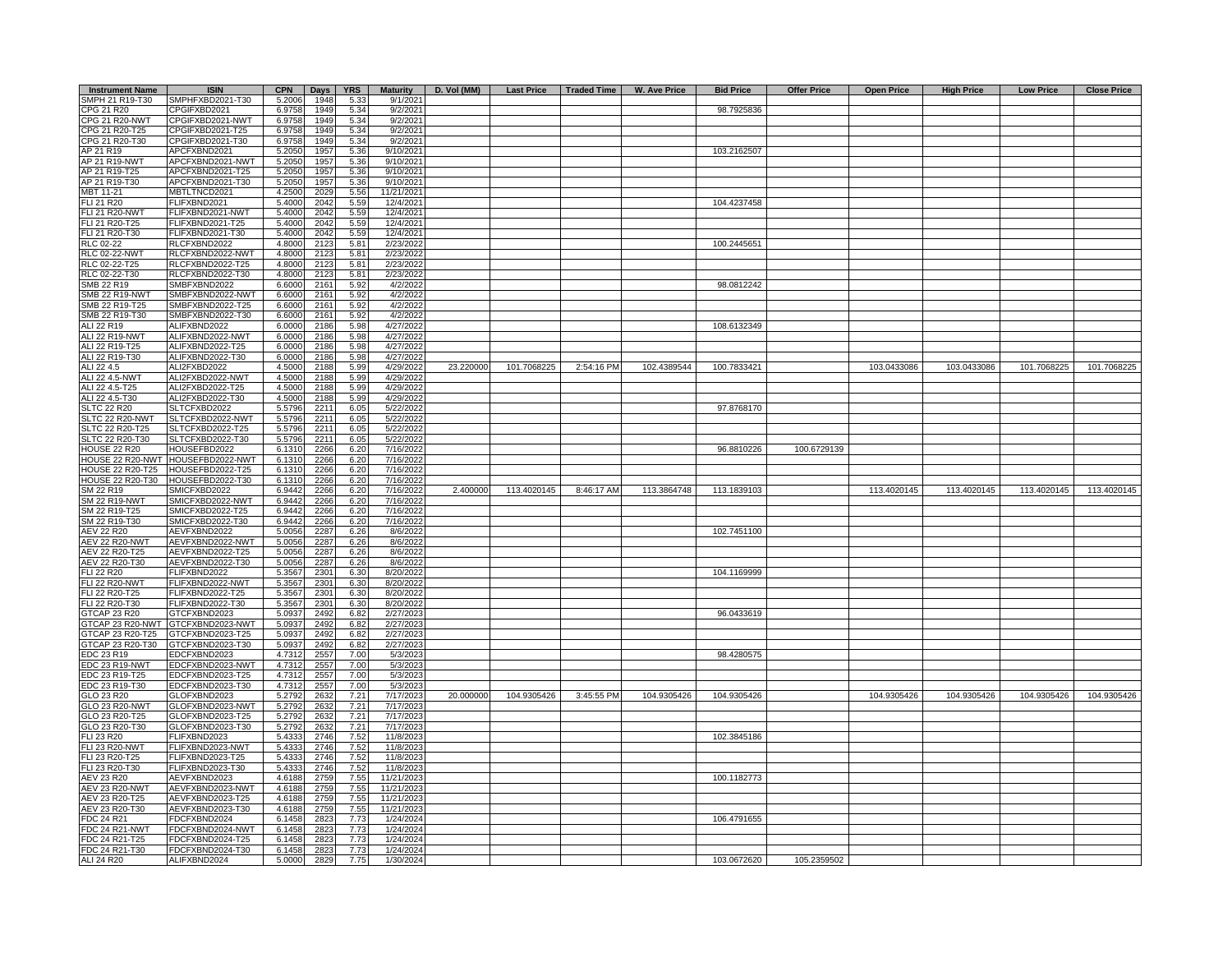| <b>Instrument Name</b>                   | <b>ISIN</b>                          | <b>CPN</b>       | <b>Days</b>  | <b>YRS</b>   | <b>Maturity</b>        | D. Vol (MM) | <b>Last Price</b> | <b>Traded Time</b> | W. Ave Price | <b>Bid Price</b> | <b>Offer Price</b> | <b>Open Price</b> | <b>High Price</b> | <b>Low Price</b> | <b>Close Price</b> |
|------------------------------------------|--------------------------------------|------------------|--------------|--------------|------------------------|-------------|-------------------|--------------------|--------------|------------------|--------------------|-------------------|-------------------|------------------|--------------------|
| SMPH 21 R19-T30                          | SMPHFXBD2021-T30                     | 5.2006           | 1948         | 5.33         | 9/1/2021               |             |                   |                    |              |                  |                    |                   |                   |                  |                    |
| CPG 21 R20                               | CPGIFXBD2021                         | 6.9758           | 1949         | 5.34         | 9/2/2021               |             |                   |                    |              | 98.7925836       |                    |                   |                   |                  |                    |
| <b>CPG 21 R20-NWT</b><br>CPG 21 R20-T25  | CPGIFXBD2021-NWT<br>CPGIFXBD2021-T25 | 6.9758<br>6.9758 | 1949<br>1949 | 5.34<br>5.34 | 9/2/2021<br>9/2/2021   |             |                   |                    |              |                  |                    |                   |                   |                  |                    |
| CPG 21 R20-T30                           | CPGIFXBD2021-T30                     | 6.9758           | 1949         | 5.34         | 9/2/2021               |             |                   |                    |              |                  |                    |                   |                   |                  |                    |
| AP 21 R19                                | APCFXBND2021                         | 5.2050           | 1957         | 5.36         | 9/10/2021              |             |                   |                    |              | 103.2162507      |                    |                   |                   |                  |                    |
| AP 21 R19-NWT                            | APCFXBND2021-NWT                     | 5.2050           | 1957         | 5.36         | 9/10/2021              |             |                   |                    |              |                  |                    |                   |                   |                  |                    |
| AP 21 R19-T25                            | APCFXBND2021-T25                     | 5.2050           | 1957         | 5.36         | 9/10/2021              |             |                   |                    |              |                  |                    |                   |                   |                  |                    |
| AP 21 R19-T30                            | APCFXBND2021-T30                     | 5.2050           | 195          | 5.36         | 9/10/2021              |             |                   |                    |              |                  |                    |                   |                   |                  |                    |
| MBT 11-21                                | MBTLTNCD2021                         | 4.2500           | 2029         | 5.56         | 11/21/2021             |             |                   |                    |              |                  |                    |                   |                   |                  |                    |
| FLI 21 R20                               | FLIFXBND2021                         | 5.4000           | 2042         | 5.59         | 12/4/2021              |             |                   |                    |              | 104.4237458      |                    |                   |                   |                  |                    |
| <b>FLI 21 R20-NWT</b>                    | FLIFXBND2021-NWT                     | 5.4000           | 2042         | 5.59         | 12/4/2021              |             |                   |                    |              |                  |                    |                   |                   |                  |                    |
| FLI 21 R20-T25                           | FLIFXBND2021-T25                     | 5.4000           | 2042         | 5.59         | 12/4/2021              |             |                   |                    |              |                  |                    |                   |                   |                  |                    |
| FLI 21 R20-T30                           | FLIFXBND2021-T30                     | 5.4000           | 2042         | 5.59<br>5.81 | 12/4/2021              |             |                   |                    |              |                  |                    |                   |                   |                  |                    |
| <b>RLC 02-22</b><br><b>RLC 02-22-NWT</b> | RLCFXBND2022<br>RLCFXBND2022-NWT     | 4.8000<br>4.8000 | 2123<br>2123 | 5.81         | 2/23/2022<br>2/23/2022 |             |                   |                    |              | 100.2445651      |                    |                   |                   |                  |                    |
| RLC 02-22-T25                            | RLCFXBND2022-T25                     | 4.8000           | 2123         | 5.81         | 2/23/2022              |             |                   |                    |              |                  |                    |                   |                   |                  |                    |
| RLC 02-22-T30                            | RLCFXBND2022-T30                     | 4.8000           | 212          | 5.81         | 2/23/2022              |             |                   |                    |              |                  |                    |                   |                   |                  |                    |
| SMB 22 R19                               | SMBFXBND2022                         | 6.6000           | 216'         | 5.92         | 4/2/2022               |             |                   |                    |              | 98.0812242       |                    |                   |                   |                  |                    |
| <b>SMB 22 R19-NWT</b>                    | SMBFXBND2022-NWT                     | 6.6000           | 216'         | 5.92         | 4/2/2022               |             |                   |                    |              |                  |                    |                   |                   |                  |                    |
| SMB 22 R19-T25                           | SMBFXBND2022-T25                     | 6.6000           | 2161         | 5.92         | 4/2/2022               |             |                   |                    |              |                  |                    |                   |                   |                  |                    |
| SMB 22 R19-T30                           | SMBFXBND2022-T30                     | 6.6000           | 2161         | 5.92         | 4/2/2022               |             |                   |                    |              |                  |                    |                   |                   |                  |                    |
| ALI 22 R19                               | ALIFXBND2022                         | 6.0000           | 2186         | 5.98         | 4/27/2022              |             |                   |                    |              | 108.6132349      |                    |                   |                   |                  |                    |
| ALI 22 R19-NWT                           | ALIFXBND2022-NWT                     | 6.0000           | 2186         | 5.98         | 4/27/2022              |             |                   |                    |              |                  |                    |                   |                   |                  |                    |
| ALI 22 R19-T25<br>ALI 22 R19-T30         | ALIFXBND2022-T25                     | 6.0000<br>6.0000 | 2186<br>2186 | 5.98<br>5.98 | 4/27/2022<br>4/27/2022 |             |                   |                    |              |                  |                    |                   |                   |                  |                    |
| ALI 22 4.5                               | ALIFXBND2022-T30<br>ALI2FXBD2022     | 4.5000           | 2188         | 5.99         | 4/29/2022              | 23.220000   | 101.7068225       | 2:54:16 PM         | 102.4389544  | 100.7833421      |                    | 103.0433086       | 103.0433086       | 101.7068225      | 101.7068225        |
| ALI 22 4.5-NWT                           | ALI2FXBD2022-NWT                     | 4.5000           | 2188         | 5.99         | 4/29/2022              |             |                   |                    |              |                  |                    |                   |                   |                  |                    |
| ALI 22 4.5-T25                           | ALI2FXBD2022-T25                     | 4.5000           | 2188         | 5.99         | 4/29/2022              |             |                   |                    |              |                  |                    |                   |                   |                  |                    |
| ALI 22 4.5-T30                           | ALI2FXBD2022-T30                     | 4.5000           | 2188         | 5.99         | 4/29/2022              |             |                   |                    |              |                  |                    |                   |                   |                  |                    |
| <b>SLTC 22 R20</b>                       | SLTCFXBD2022                         | 5.5796           | 2211         | 6.05         | 5/22/2022              |             |                   |                    |              | 97.8768170       |                    |                   |                   |                  |                    |
| SLTC 22 R20-NWT                          | SLTCFXBD2022-NWT                     | 5.5796           | 2211         | 6.05         | 5/22/2022              |             |                   |                    |              |                  |                    |                   |                   |                  |                    |
| SLTC 22 R20-T25                          | SLTCFXBD2022-T25                     | 5.5796           | 2211         | 6.05         | 5/22/2022              |             |                   |                    |              |                  |                    |                   |                   |                  |                    |
| SLTC 22 R20-T30                          | SLTCFXBD2022-T30                     | 5.5796           | 2211         | 6.05         | 5/22/2022              |             |                   |                    |              |                  |                    |                   |                   |                  |                    |
| <b>HOUSE 22 R20</b><br>HOUSE 22 R20-NWT  | HOUSEFBD2022<br>HOUSEFBD2022-NWT     | 6.1310<br>6.1310 | 2266<br>2266 | 6.20<br>6.20 | 7/16/2022<br>7/16/2022 |             |                   |                    |              | 96.8810226       | 100.6729139        |                   |                   |                  |                    |
| HOUSE 22 R20-T25                         | HOUSEFBD2022-T25                     | 6.1310           | 2266         | 6.20         | 7/16/2022              |             |                   |                    |              |                  |                    |                   |                   |                  |                    |
| HOUSE 22 R20-T30                         | HOUSEFBD2022-T30                     | 6.1310           | 2266         | 6.20         | 7/16/2022              |             |                   |                    |              |                  |                    |                   |                   |                  |                    |
| SM 22 R19                                | SMICFXBD2022                         | 6.9442           | 2266         | 6.20         | 7/16/2022              | 2.400000    | 113.4020145       | 8:46:17 AM         | 113.3864748  | 113.1839103      |                    | 113.4020145       | 113.4020145       | 113.4020145      | 113.4020145        |
| <b>SM 22 R19-NWT</b>                     | SMICFXBD2022-NWT                     | 6.9442           | 2266         | 6.20         | 7/16/2022              |             |                   |                    |              |                  |                    |                   |                   |                  |                    |
| SM 22 R19-T25                            | SMICFXBD2022-T25                     | 6.9442           | 2266         | 6.20         | 7/16/2022              |             |                   |                    |              |                  |                    |                   |                   |                  |                    |
| SM 22 R19-T30                            | SMICFXBD2022-T30                     | 6.9442           | 2266         | 6.20         | 7/16/2022              |             |                   |                    |              |                  |                    |                   |                   |                  |                    |
| AEV 22 R20                               | AEVFXBND2022                         | 5.0056           | 2287         | 6.26         | 8/6/2022               |             |                   |                    |              | 102.7451100      |                    |                   |                   |                  |                    |
| <b>AEV 22 R20-NWT</b><br>AEV 22 R20-T25  | AEVFXBND2022-NWT<br>AEVFXBND2022-T25 | 5.0056<br>5.0056 | 2287<br>2287 | 6.26<br>6.26 | 8/6/2022<br>8/6/2022   |             |                   |                    |              |                  |                    |                   |                   |                  |                    |
| AEV 22 R20-T30                           | AEVFXBND2022-T30                     | 5.0056           | 2287         | 6.26         | 8/6/2022               |             |                   |                    |              |                  |                    |                   |                   |                  |                    |
| <b>FLI 22 R20</b>                        | FLIFXBND2022                         | 5.3567           | 230'         | 6.30         | 8/20/2022              |             |                   |                    |              | 104.1169999      |                    |                   |                   |                  |                    |
| <b>FLI 22 R20-NWT</b>                    | FLIFXBND2022-NWT                     | 5.3567           | 230'         | 6.30         | 8/20/2022              |             |                   |                    |              |                  |                    |                   |                   |                  |                    |
| FLI 22 R20-T25                           | FLIFXBND2022-T25                     | 5.3567           | 230'         | 6.30         | 8/20/2022              |             |                   |                    |              |                  |                    |                   |                   |                  |                    |
| FLI 22 R20-T30                           | FLIFXBND2022-T30                     | 5.3567           | 2301         | 6.30         | 8/20/2022              |             |                   |                    |              |                  |                    |                   |                   |                  |                    |
| GTCAP 23 R20                             | GTCFXBND2023                         | 5.0937           | 2492         | 6.82         | 2/27/2023              |             |                   |                    |              | 96.0433619       |                    |                   |                   |                  |                    |
| GTCAP 23 R20-NWT                         | GTCFXBND2023-NWT                     | 5.0937           | 2492         | 6.82         | 2/27/2023              |             |                   |                    |              |                  |                    |                   |                   |                  |                    |
| GTCAP 23 R20-T25                         | GTCFXBND2023-T25                     | 5.0937           | 2492         | 6.82         | 2/27/2023              |             |                   |                    |              |                  |                    |                   |                   |                  |                    |
| GTCAP 23 R20-T30<br>EDC 23 R19           | GTCFXBND2023-T30<br>EDCFXBND2023     | 5.0937<br>4.7312 | 2492<br>2557 | 6.82<br>7.00 | 2/27/2023<br>5/3/2023  |             |                   |                    |              | 98.4280575       |                    |                   |                   |                  |                    |
| EDC 23 R19-NWT                           | EDCFXBND2023-NWT                     | 4.7312           | 2557         | 7.00         | 5/3/2023               |             |                   |                    |              |                  |                    |                   |                   |                  |                    |
| EDC 23 R19-T25                           | EDCFXBND2023-T25                     | 4.7312           | 2557         | 7.00         | 5/3/2023               |             |                   |                    |              |                  |                    |                   |                   |                  |                    |
| EDC 23 R19-T30                           | EDCFXBND2023-T30                     | 4.7312           | 255          | 7.00         | 5/3/2023               |             |                   |                    |              |                  |                    |                   |                   |                  |                    |
| GLO 23 R20                               | GLOFXBND2023                         | 5.2792           | 2632         | 7.21         | 7/17/2023              | 20,000000   | 104.9305426       | 3:45:55 PM         | 104.9305426  | 104.9305426      |                    | 104.9305426       | 104.9305426       | 104.9305426      | 104.9305426        |
| GLO 23 R20-NWT                           | GLOFXBND2023-NWT                     | 5.2792           | 2632         | 7.21         | 7/17/2023              |             |                   |                    |              |                  |                    |                   |                   |                  |                    |
| GLO 23 R20-T25                           | GLOFXBND2023-T25                     | 5.2792           | 2632         | 7.21         | 7/17/2023              |             |                   |                    |              |                  |                    |                   |                   |                  |                    |
| GLO 23 R20-T30                           | GLOFXBND2023-T30                     | 5.2792           | 2632         | 7.21         | 7/17/2023              |             |                   |                    |              |                  |                    |                   |                   |                  |                    |
| FLI 23 R20<br><b>FLI 23 R20-NWT</b>      | FLIFXBND2023<br>FLIFXBND2023-NWT     | 5.4333           | 2746         | 7.52         | 11/8/2023<br>11/8/2023 |             |                   |                    |              | 102.3845186      |                    |                   |                   |                  |                    |
| FLI 23 R20-T25                           | ELIFXBND2023-T25                     | 5.4333<br>5.4333 | 2746<br>2746 | 7.52<br>7.52 | 11/8/2023              |             |                   |                    |              |                  |                    |                   |                   |                  |                    |
| FLI 23 R20-T30                           | FLIFXBND2023-T30                     | 5.4333           | 2746         | 7.52         | 11/8/2023              |             |                   |                    |              |                  |                    |                   |                   |                  |                    |
| AEV 23 R20                               | AEVFXBND2023                         | 4.6188           | 2759         | 7.55         | 11/21/2023             |             |                   |                    |              | 100.1182773      |                    |                   |                   |                  |                    |
| <b>AEV 23 R20-NWT</b>                    | AEVFXBND2023-NWT                     | 4.6188           | 2759         | 7.55         | 11/21/2023             |             |                   |                    |              |                  |                    |                   |                   |                  |                    |
| AEV 23 R20-T25                           | AEVFXBND2023-T25                     | 4.6188           | 2759         | 7.55         | 11/21/2023             |             |                   |                    |              |                  |                    |                   |                   |                  |                    |
| AEV 23 R20-T30                           | AEVFXBND2023-T30                     | 4.6188           | 2759         | 7.55         | 11/21/2023             |             |                   |                    |              |                  |                    |                   |                   |                  |                    |
| FDC 24 R21                               | FDCFXBND2024                         | 6.1458           | 2823         | 7.73         | 1/24/2024              |             |                   |                    |              | 106.4791655      |                    |                   |                   |                  |                    |
| <b>FDC 24 R21-NWT</b>                    | FDCFXBND2024-NWT                     | 6.1458           | 2823         | 7.73         | 1/24/2024              |             |                   |                    |              |                  |                    |                   |                   |                  |                    |
| FDC 24 R21-T25<br>FDC 24 R21-T30         | DCFXBND2024-T25<br>DCFXBND2024-T30   | 6.1458<br>6.1458 | 282<br>282   | 7.73<br>7.73 | 1/24/2024<br>1/24/2024 |             |                   |                    |              |                  |                    |                   |                   |                  |                    |
| ALI 24 R20                               | ALIFXBND2024                         | 5.0000           | 2829         | 7.75         | 1/30/2024              |             |                   |                    |              | 103.0672620      | 105.2359502        |                   |                   |                  |                    |
|                                          |                                      |                  |              |              |                        |             |                   |                    |              |                  |                    |                   |                   |                  |                    |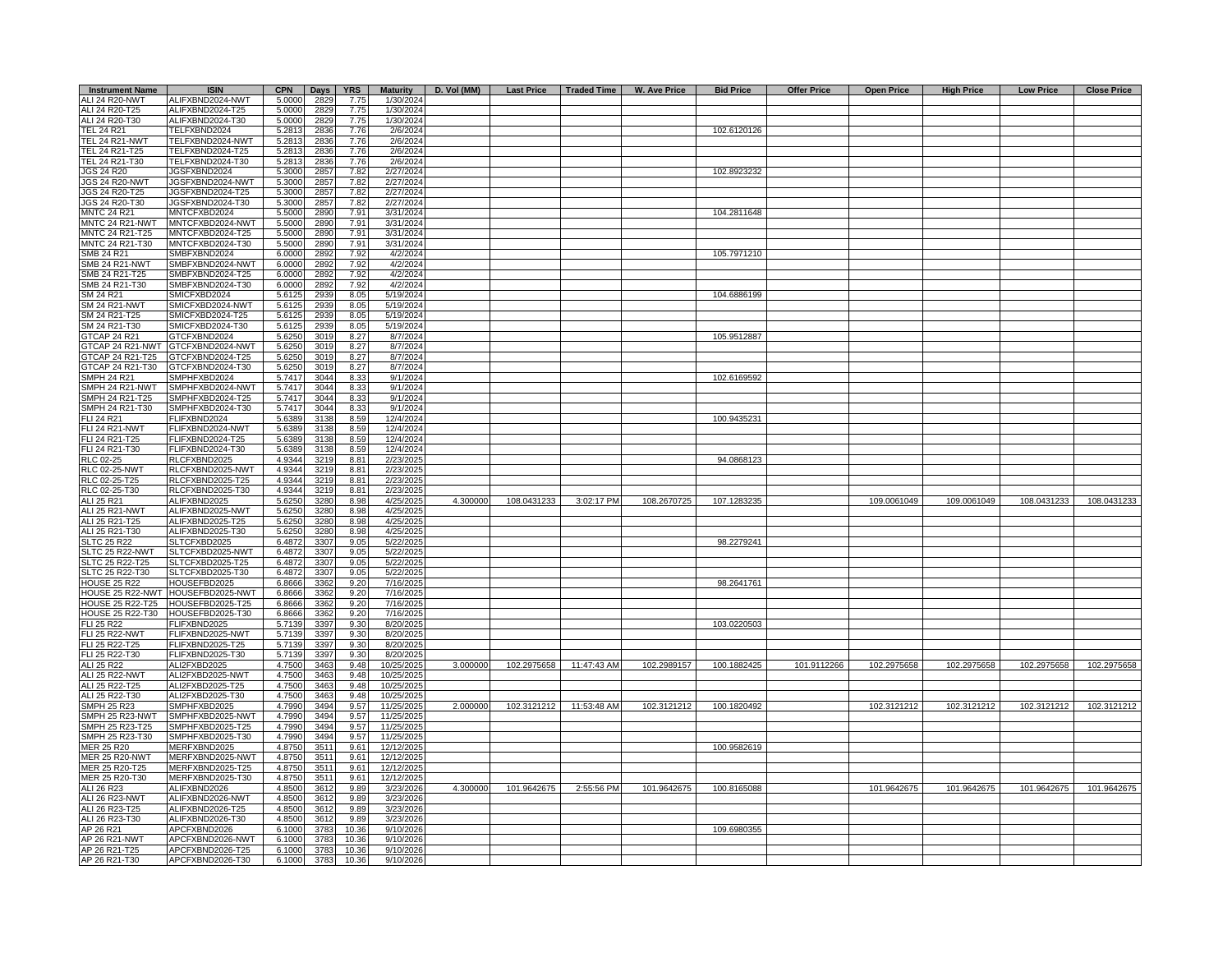| <b>Instrument Name</b>                             | <b>ISIN</b>                          | <b>CPN</b>       | <b>Days</b>  | <b>YRS</b>    | <b>Maturity</b>          |          |             |             | D. Vol (MM)   Last Price   Traded Time   W. Ave Price | <b>Bid Price</b> | <b>Offer Price</b> | <b>Open Price</b> | <b>High Price</b> | <b>Low Price</b> | <b>Close Price</b> |
|----------------------------------------------------|--------------------------------------|------------------|--------------|---------------|--------------------------|----------|-------------|-------------|-------------------------------------------------------|------------------|--------------------|-------------------|-------------------|------------------|--------------------|
| ALI 24 R20-NWT                                     | ALIFXBND2024-NWT                     | 5.0000           | 2829         | 7.75          | 1/30/2024                |          |             |             |                                                       |                  |                    |                   |                   |                  |                    |
| ALI 24 R20-T25                                     | ALIFXBND2024-T25                     | 5.0000           | 2829         | 7.75          | 1/30/2024                |          |             |             |                                                       |                  |                    |                   |                   |                  |                    |
| ALI 24 R20-T30<br><b>TEL 24 R21</b>                | ALIFXBND2024-T30<br>TELFXBND2024     | 5.0000<br>5.2813 | 2829<br>2836 | 7.75<br>7.76  | 1/30/2024<br>2/6/2024    |          |             |             |                                                       | 102.6120126      |                    |                   |                   |                  |                    |
| <b>TEL 24 R21-NWT</b>                              | TELFXBND2024-NWT                     | 5.2813           | 2836         | 7.76          | 2/6/2024                 |          |             |             |                                                       |                  |                    |                   |                   |                  |                    |
| TEL 24 R21-T25                                     | TELFXBND2024-T25                     | 5.2813           | 2836         | 7.76          | 2/6/2024                 |          |             |             |                                                       |                  |                    |                   |                   |                  |                    |
| TEL 24 R21-T30                                     | TELFXBND2024-T30                     | 5.2813           | 2836         | 7.76          | 2/6/2024                 |          |             |             |                                                       |                  |                    |                   |                   |                  |                    |
| JGS 24 R20                                         | JGSFXBND2024                         | 5.3000           | 285          | 7.82          | 2/27/2024                |          |             |             |                                                       | 102.8923232      |                    |                   |                   |                  |                    |
| <b>JGS 24 R20-NWT</b>                              | JGSFXBND2024-NWT                     | 5.3000           | 2857         | 7.82          | 2/27/2024                |          |             |             |                                                       |                  |                    |                   |                   |                  |                    |
| JGS 24 R20-T25                                     | JGSFXBND2024-T25                     | 5.3000           | 2857         | 7.82          | 2/27/2024                |          |             |             |                                                       |                  |                    |                   |                   |                  |                    |
| JGS 24 R20-T30                                     | JGSFXBND2024-T30                     | 5.3000           | 2857         | 7.82          | 2/27/2024                |          |             |             |                                                       |                  |                    |                   |                   |                  |                    |
| <b>MNTC 24 R21</b>                                 | MNTCFXBD2024                         | 5.5000           | 2890         | 7.91          | 3/31/2024                |          |             |             |                                                       | 104.2811648      |                    |                   |                   |                  |                    |
| MNTC 24 R21-NWT<br>MNTC 24 R21-T25                 | MNTCFXBD2024-NWT<br>MNTCFXBD2024-T25 | 5.5000<br>5.5000 | 2890         | 7.91<br>7.91  | 3/31/2024                |          |             |             |                                                       |                  |                    |                   |                   |                  |                    |
| MNTC 24 R21-T30                                    | MNTCFXBD2024-T30                     | 5.5000           | 2890<br>2890 | 7.91          | 3/31/2024<br>3/31/2024   |          |             |             |                                                       |                  |                    |                   |                   |                  |                    |
| SMB 24 R21                                         | SMBFXBND2024                         | 6.0000           | 2892         | 7.92          | 4/2/2024                 |          |             |             |                                                       | 105.7971210      |                    |                   |                   |                  |                    |
| SMB 24 R21-NWT                                     | SMBFXBND2024-NWT                     | 6.0000           | 2892         | 7.92          | 4/2/2024                 |          |             |             |                                                       |                  |                    |                   |                   |                  |                    |
| SMB 24 R21-T25                                     | SMBFXBND2024-T25                     | 6.000            | 2892         | 7.92          | 4/2/2024                 |          |             |             |                                                       |                  |                    |                   |                   |                  |                    |
| SMB 24 R21-T30                                     | SMBFXBND2024-T30                     | 6.000            | 2892         | 7.92          | 4/2/2024                 |          |             |             |                                                       |                  |                    |                   |                   |                  |                    |
| SM 24 R21                                          | SMICFXBD2024                         | 5.612            | 2939         | 8.05          | 5/19/2024                |          |             |             |                                                       | 104.6886199      |                    |                   |                   |                  |                    |
| <b>SM 24 R21-NWT</b>                               | SMICFXBD2024-NWT                     | 5.612            | 2939         | 8.05          | 5/19/2024                |          |             |             |                                                       |                  |                    |                   |                   |                  |                    |
| SM 24 R21-T25                                      | SMICFXBD2024-T25                     | 5.612            | 2939         | 8.05          | 5/19/2024                |          |             |             |                                                       |                  |                    |                   |                   |                  |                    |
| SM 24 R21-T30                                      | SMICFXBD2024-T30                     | 5.612            | 2939         | 8.05          | 5/19/2024                |          |             |             |                                                       |                  |                    |                   |                   |                  |                    |
| <b>GTCAP 24 R21</b>                                | GTCFXBND2024                         | 5.625            | 3019         | 8.27          | 8/7/2024                 |          |             |             |                                                       | 105.9512887      |                    |                   |                   |                  |                    |
|                                                    | GTCAP 24 R21-NWT GTTCFXBND2024-NWT   | 5.6250           | 3019         | 8.27          | 8/7/2024                 |          |             |             |                                                       |                  |                    |                   |                   |                  |                    |
| GTCAP 24 R21-T25<br>GTCAP 24 R21-T30               | GTCFXBND2024-T25<br>GTCFXBND2024-T30 | 5.6250<br>5.6250 | 3019<br>3019 | 8.27<br>8.27  | 8/7/2024<br>8/7/2024     |          |             |             |                                                       |                  |                    |                   |                   |                  |                    |
| SMPH 24 R21                                        | SMPHFXBD2024                         | 5.7417           | 3044         | 8.33          | 9/1/2024                 |          |             |             |                                                       | 102.6169592      |                    |                   |                   |                  |                    |
| <b>SMPH 24 R21-NWT</b>                             | SMPHFXBD2024-NWT                     | 5.7417           | 3044         | 8.33          | 9/1/2024                 |          |             |             |                                                       |                  |                    |                   |                   |                  |                    |
| SMPH 24 R21-T25                                    | MPHFXBD2024-T25                      | 5.7417           | 3044         | 8.33          | 9/1/2024                 |          |             |             |                                                       |                  |                    |                   |                   |                  |                    |
| SMPH 24 R21-T30                                    | MPHFXBD2024-T30                      | 5.7417           | 3044         | 8.33          | 9/1/2024                 |          |             |             |                                                       |                  |                    |                   |                   |                  |                    |
| FLI 24 R21                                         | FLIFXBND2024                         | 5.6389           | 3138         | 8.59          | 12/4/2024                |          |             |             |                                                       | 100.9435231      |                    |                   |                   |                  |                    |
| <b>FLI 24 R21-NWT</b>                              | FLIFXBND2024-NWT                     | 5.6389           | 3138         | 8.59          | 12/4/2024                |          |             |             |                                                       |                  |                    |                   |                   |                  |                    |
| FLI 24 R21-T25                                     | FLIFXBND2024-T25                     | 5.6389           | 3138         | 8.59          | 12/4/2024                |          |             |             |                                                       |                  |                    |                   |                   |                  |                    |
| FLI 24 R21-T30                                     | FLIFXBND2024-T30                     | 5.6389           | 3138         | 8.59          | 12/4/2024                |          |             |             |                                                       |                  |                    |                   |                   |                  |                    |
| RLC 02-25                                          | RLCFXBND2025                         | 4.9344           | 3219         | 8.81          | 2/23/2025                |          |             |             |                                                       | 94.0868123       |                    |                   |                   |                  |                    |
| <b>RLC 02-25-NWT</b>                               | RLCFXBND2025-NWT                     | 4.9344           | 3219         | 8.81          | 2/23/2025                |          |             |             |                                                       |                  |                    |                   |                   |                  |                    |
| RLC 02-25-T25<br>RLC 02-25-T30                     | RLCFXBND2025-T25<br>RLCFXBND2025-T30 | 4.9344<br>4.9344 | 3219<br>3219 | 8.81<br>8.81  | 2/23/2025<br>2/23/2025   |          |             |             |                                                       |                  |                    |                   |                   |                  |                    |
| ALI 25 R21                                         | ALIFXBND2025                         | 5.6250           | 3280         | 8.98          | 4/25/2025                | 4.300000 | 108.0431233 | 3:02:17 PM  | 108.2670725                                           | 107.1283235      |                    | 109.0061049       | 109.0061049       | 108.0431233      | 108.0431233        |
| <b>ALI 25 R21-NWT</b>                              | ALIFXBND2025-NWT                     | 5.6250           | 3280         | 8.98          | 4/25/2025                |          |             |             |                                                       |                  |                    |                   |                   |                  |                    |
| ALI 25 R21-T25                                     | ALIFXBND2025-T25                     | 5.6250           | 3280         | 8.98          | 4/25/2025                |          |             |             |                                                       |                  |                    |                   |                   |                  |                    |
| ALI 25 R21-T30                                     | ALIFXBND2025-T30                     | 5.6250           | 3280         | 8.98          | 4/25/2025                |          |             |             |                                                       |                  |                    |                   |                   |                  |                    |
| <b>SLTC 25 R22</b>                                 | SLTCFXBD2025                         | 6.4872           | 3307         | 9.05          | 5/22/2025                |          |             |             |                                                       | 98.2279241       |                    |                   |                   |                  |                    |
| SLTC 25 R22-NWT                                    | SLTCFXBD2025-NWT                     | 6.4872           | 3307         | 9.05          | 5/22/2025                |          |             |             |                                                       |                  |                    |                   |                   |                  |                    |
| <b>SLTC 25 R22-T25</b>                             | SLTCFXBD2025-T25                     | 6.4872           | 3307         | 9.05          | 5/22/2025                |          |             |             |                                                       |                  |                    |                   |                   |                  |                    |
| SLTC 25 R22-T30                                    | SLTCFXBD2025-T30                     | 6.4872           | 3307         | 9.05          | 5/22/2025                |          |             |             |                                                       |                  |                    |                   |                   |                  |                    |
| <b>IOUSE 25 R22</b>                                | HOUSEFBD2025                         | 6.8666           | 3362         | 9.20          | 7/16/2025                |          |             |             |                                                       | 98.2641761       |                    |                   |                   |                  |                    |
| <b>IOUSE 25 R22-NWT</b><br><b>IOUSE 25 R22-T25</b> | HOUSEFBD2025-NWT<br>HOUSEFBD2025-T25 | 6.8666<br>6.8666 | 3362<br>3362 | 9.20<br>9.20  | 7/16/2025<br>7/16/2025   |          |             |             |                                                       |                  |                    |                   |                   |                  |                    |
| <b>IOUSE 25 R22-T30</b>                            | HOUSEFBD2025-T30                     | 6.8666           | 3362         | 9.20          | 7/16/2025                |          |             |             |                                                       |                  |                    |                   |                   |                  |                    |
| <b>LI 25 R22</b>                                   | FLIFXBND2025                         | 5.713            | 3397         | 9.30          | 8/20/2025                |          |             |             |                                                       | 103.0220503      |                    |                   |                   |                  |                    |
| ELI 25 R22-NWT                                     | FLIFXBND2025-NWT                     | 5.7139           | 3397         | 9.30          | 8/20/2025                |          |             |             |                                                       |                  |                    |                   |                   |                  |                    |
| FLI 25 R22-T25                                     | FLIFXBND2025-T25                     | 5.7139           | 3397         | 9.30          | 8/20/2025                |          |             |             |                                                       |                  |                    |                   |                   |                  |                    |
| FLI 25 R22-T30                                     | FLIFXBND2025-T30                     | 5.7139           | 3397         | 9.30          | 8/20/2025                |          |             |             |                                                       |                  |                    |                   |                   |                  |                    |
| ALI 25 R22                                         | ALI2FXBD2025                         | 4.7500           | 3463         | 9.48          | 10/25/2025               | 3.000000 | 102.2975658 | 11:47:43 AM | 102.2989157                                           | 100.1882425      | 101.9112266        | 102.2975658       | 102.2975658       | 102.2975658      | 102.2975658        |
| ALI 25 R22-NWT                                     | ALI2FXBD2025-NWT                     | 4.7500           | 3463         | 9.48          | 10/25/2025               |          |             |             |                                                       |                  |                    |                   |                   |                  |                    |
| ALI 25 R22-T25                                     | ALI2FXBD2025-T25                     | 4.7500           | 3463         | 9.48          | 10/25/2025               |          |             |             |                                                       |                  |                    |                   |                   |                  |                    |
| ALI 25 R22-T30<br>SMPH 25 R23                      | ALI2FXBD2025-T30<br>SMPHFXBD2025     | 4.7500<br>4.7990 | 3463<br>3494 | 9.48<br>9.57  | 10/25/2025               | 2.000000 |             |             |                                                       |                  |                    |                   |                   |                  |                    |
| SMPH 25 R23-NWT                                    | SMPHFXBD2025-NWT                     | 4.7990           | 3494         | 9.57          | 11/25/2025<br>11/25/2025 |          | 102.3121212 | 11:53:48 AM | 102.3121212                                           | 100.1820492      |                    | 102.3121212       | 102.3121212       | 102.3121212      | 102.3121212        |
| SMPH 25 R23-T25                                    | MPHFXBD2025-T25                      | 4.7990           | 3494         | 9.57          | 11/25/2025               |          |             |             |                                                       |                  |                    |                   |                   |                  |                    |
| SMPH 25 R23-T30                                    | SMPHFXBD2025-T30                     | 4.7990           | 3494         | 9.57          | 11/25/2025               |          |             |             |                                                       |                  |                    |                   |                   |                  |                    |
| MER 25 R20                                         | MERFXBND2025                         | 4.8750           | 3511         | 9.61          | 12/12/2025               |          |             |             |                                                       | 100.9582619      |                    |                   |                   |                  |                    |
| MER 25 R20-NWT                                     | MERFXBND2025-NWT                     | 4.8750           | 3511         | 9.61          | 12/12/2025               |          |             |             |                                                       |                  |                    |                   |                   |                  |                    |
| MER 25 R20-T25                                     | MERFXBND2025-T25                     | 4.8750           | 3511         | 9.61          | 12/12/2025               |          |             |             |                                                       |                  |                    |                   |                   |                  |                    |
| MER 25 R20-T30                                     | MERFXBND2025-T30                     | 4.8750           | 3511         | 9.61          | 12/12/2025               |          |             |             |                                                       |                  |                    |                   |                   |                  |                    |
| ALI 26 R23                                         | ALIFXBND2026                         | 4.8500           | 361          | 9.89          | 3/23/2026                | 4.300000 | 101.9642675 | 2:55:56 PM  | 101.9642675                                           | 100.8165088      |                    | 101.9642675       | 101.9642675       | 101.9642675      | 101.9642675        |
| ALI 26 R23-NWT                                     | ALIFXBND2026-NWT                     | 4.8500           | 361          | 9.89          | 3/23/2026                |          |             |             |                                                       |                  |                    |                   |                   |                  |                    |
| ALI 26 R23-T25                                     | ALIFXBND2026-T25                     | 4.8500           | 361          | 9.89          | 3/23/2026                |          |             |             |                                                       |                  |                    |                   |                   |                  |                    |
| ALI 26 R23-T30<br>AP 26 R21                        | ALIFXBND2026-T30<br>APCFXBND2026     | 4.8500<br>6.1000 | 3612<br>378  | 9.89<br>10.36 | 3/23/2026<br>9/10/2026   |          |             |             |                                                       | 109.6980355      |                    |                   |                   |                  |                    |
| AP 26 R21-NWT                                      | APCFXBND2026-NWT                     | 6.1000           | 3783         | 10.36         | 9/10/2026                |          |             |             |                                                       |                  |                    |                   |                   |                  |                    |
| AP 26 R21-T25                                      | APCFXBND2026-T25                     | 6.1000           | 3783         | 10.36         | 9/10/2026                |          |             |             |                                                       |                  |                    |                   |                   |                  |                    |
| AP 26 R21-T30                                      | APCFXBND2026-T30                     | 6.1000           | 3783         | 10.36         | 9/10/2026                |          |             |             |                                                       |                  |                    |                   |                   |                  |                    |
|                                                    |                                      |                  |              |               |                          |          |             |             |                                                       |                  |                    |                   |                   |                  |                    |